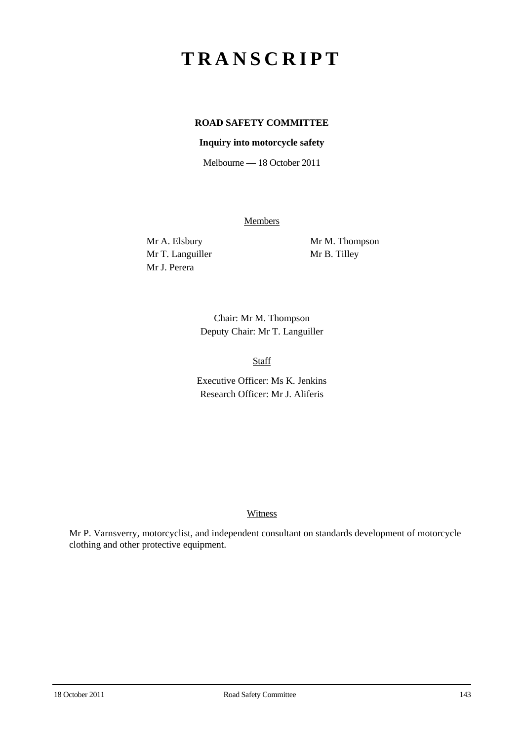# **TRANSCRIPT**

## **ROAD SAFETY COMMITTEE**

### **Inquiry into motorcycle safety**

Melbourne — 18 October 2011

Members

Mr T. Languiller Mr B. Tilley Mr J. Perera

Mr A. Elsbury Mr M. Thompson

Chair: Mr M. Thompson Deputy Chair: Mr T. Languiller

Staff

Executive Officer: Ms K. Jenkins Research Officer: Mr J. Aliferis

#### **Witness**

Mr P. Varnsverry, motorcyclist, and independent consultant on standards development of motorcycle clothing and other protective equipment.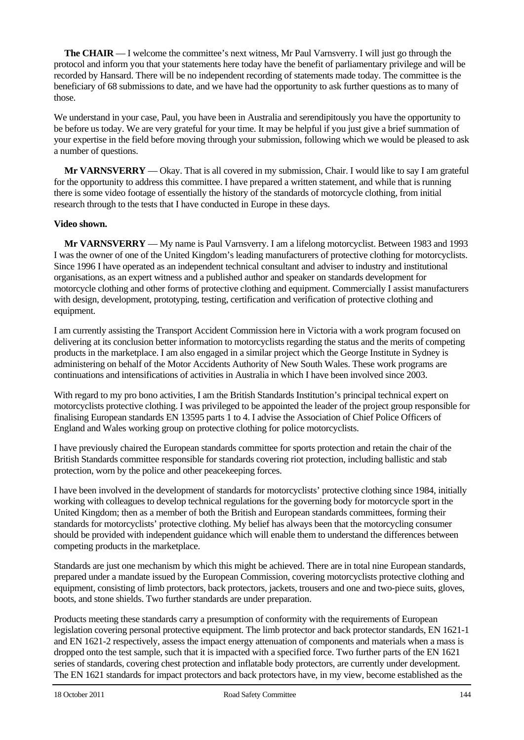**The CHAIR** — I welcome the committee's next witness, Mr Paul Varnsverry. I will just go through the protocol and inform you that your statements here today have the benefit of parliamentary privilege and will be recorded by Hansard. There will be no independent recording of statements made today. The committee is the beneficiary of 68 submissions to date, and we have had the opportunity to ask further questions as to many of those.

We understand in your case. Paul, you have been in Australia and serendipitously you have the opportunity to be before us today. We are very grateful for your time. It may be helpful if you just give a brief summation of your expertise in the field before moving through your submission, following which we would be pleased to ask a number of questions.

**Mr VARNSVERRY** — Okay. That is all covered in my submission, Chair. I would like to say I am grateful for the opportunity to address this committee. I have prepared a written statement, and while that is running there is some video footage of essentially the history of the standards of motorcycle clothing, from initial research through to the tests that I have conducted in Europe in these days.

### **Video shown.**

**Mr VARNSVERRY** — My name is Paul Varnsverry. I am a lifelong motorcyclist. Between 1983 and 1993 I was the owner of one of the United Kingdom's leading manufacturers of protective clothing for motorcyclists. Since 1996 I have operated as an independent technical consultant and adviser to industry and institutional organisations, as an expert witness and a published author and speaker on standards development for motorcycle clothing and other forms of protective clothing and equipment. Commercially I assist manufacturers with design, development, prototyping, testing, certification and verification of protective clothing and equipment.

I am currently assisting the Transport Accident Commission here in Victoria with a work program focused on delivering at its conclusion better information to motorcyclists regarding the status and the merits of competing products in the marketplace. I am also engaged in a similar project which the George Institute in Sydney is administering on behalf of the Motor Accidents Authority of New South Wales. These work programs are continuations and intensifications of activities in Australia in which I have been involved since 2003.

With regard to my pro bono activities, I am the British Standards Institution's principal technical expert on motorcyclists protective clothing. I was privileged to be appointed the leader of the project group responsible for finalising European standards EN 13595 parts 1 to 4. I advise the Association of Chief Police Officers of England and Wales working group on protective clothing for police motorcyclists.

I have previously chaired the European standards committee for sports protection and retain the chair of the British Standards committee responsible for standards covering riot protection, including ballistic and stab protection, worn by the police and other peacekeeping forces.

I have been involved in the development of standards for motorcyclists' protective clothing since 1984, initially working with colleagues to develop technical regulations for the governing body for motorcycle sport in the United Kingdom; then as a member of both the British and European standards committees, forming their standards for motorcyclists' protective clothing. My belief has always been that the motorcycling consumer should be provided with independent guidance which will enable them to understand the differences between competing products in the marketplace.

Standards are just one mechanism by which this might be achieved. There are in total nine European standards, prepared under a mandate issued by the European Commission, covering motorcyclists protective clothing and equipment, consisting of limb protectors, back protectors, jackets, trousers and one and two-piece suits, gloves, boots, and stone shields. Two further standards are under preparation.

Products meeting these standards carry a presumption of conformity with the requirements of European legislation covering personal protective equipment. The limb protector and back protector standards, EN 1621-1 and EN 1621-2 respectively, assess the impact energy attenuation of components and materials when a mass is dropped onto the test sample, such that it is impacted with a specified force. Two further parts of the EN 1621 series of standards, covering chest protection and inflatable body protectors, are currently under development. The EN 1621 standards for impact protectors and back protectors have, in my view, become established as the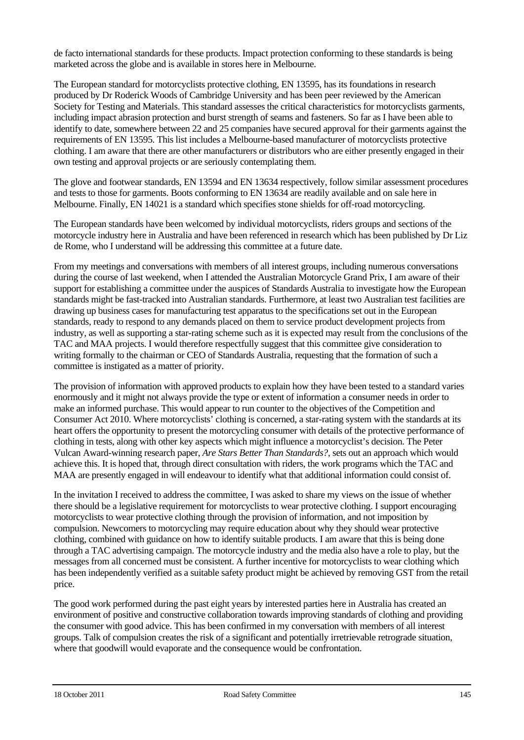de facto international standards for these products. Impact protection conforming to these standards is being marketed across the globe and is available in stores here in Melbourne.

The European standard for motorcyclists protective clothing, EN 13595, has its foundations in research produced by Dr Roderick Woods of Cambridge University and has been peer reviewed by the American Society for Testing and Materials. This standard assesses the critical characteristics for motorcyclists garments, including impact abrasion protection and burst strength of seams and fasteners. So far as I have been able to identify to date, somewhere between 22 and 25 companies have secured approval for their garments against the requirements of EN 13595. This list includes a Melbourne-based manufacturer of motorcyclists protective clothing. I am aware that there are other manufacturers or distributors who are either presently engaged in their own testing and approval projects or are seriously contemplating them.

The glove and footwear standards, EN 13594 and EN 13634 respectively, follow similar assessment procedures and tests to those for garments. Boots conforming to EN 13634 are readily available and on sale here in Melbourne. Finally, EN 14021 is a standard which specifies stone shields for off-road motorcycling.

The European standards have been welcomed by individual motorcyclists, riders groups and sections of the motorcycle industry here in Australia and have been referenced in research which has been published by Dr Liz de Rome, who I understand will be addressing this committee at a future date.

From my meetings and conversations with members of all interest groups, including numerous conversations during the course of last weekend, when I attended the Australian Motorcycle Grand Prix, I am aware of their support for establishing a committee under the auspices of Standards Australia to investigate how the European standards might be fast-tracked into Australian standards. Furthermore, at least two Australian test facilities are drawing up business cases for manufacturing test apparatus to the specifications set out in the European standards, ready to respond to any demands placed on them to service product development projects from industry, as well as supporting a star-rating scheme such as it is expected may result from the conclusions of the TAC and MAA projects. I would therefore respectfully suggest that this committee give consideration to writing formally to the chairman or CEO of Standards Australia, requesting that the formation of such a committee is instigated as a matter of priority.

The provision of information with approved products to explain how they have been tested to a standard varies enormously and it might not always provide the type or extent of information a consumer needs in order to make an informed purchase. This would appear to run counter to the objectives of the Competition and Consumer Act 2010. Where motorcyclists' clothing is concerned, a star-rating system with the standards at its heart offers the opportunity to present the motorcycling consumer with details of the protective performance of clothing in tests, along with other key aspects which might influence a motorcyclist's decision. The Peter Vulcan Award-winning research paper, *Are Stars Better Than Standards?*, sets out an approach which would achieve this. It is hoped that, through direct consultation with riders, the work programs which the TAC and MAA are presently engaged in will endeavour to identify what that additional information could consist of.

In the invitation I received to address the committee, I was asked to share my views on the issue of whether there should be a legislative requirement for motorcyclists to wear protective clothing. I support encouraging motorcyclists to wear protective clothing through the provision of information, and not imposition by compulsion. Newcomers to motorcycling may require education about why they should wear protective clothing, combined with guidance on how to identify suitable products. I am aware that this is being done through a TAC advertising campaign. The motorcycle industry and the media also have a role to play, but the messages from all concerned must be consistent. A further incentive for motorcyclists to wear clothing which has been independently verified as a suitable safety product might be achieved by removing GST from the retail price.

The good work performed during the past eight years by interested parties here in Australia has created an environment of positive and constructive collaboration towards improving standards of clothing and providing the consumer with good advice. This has been confirmed in my conversation with members of all interest groups. Talk of compulsion creates the risk of a significant and potentially irretrievable retrograde situation, where that goodwill would evaporate and the consequence would be confrontation.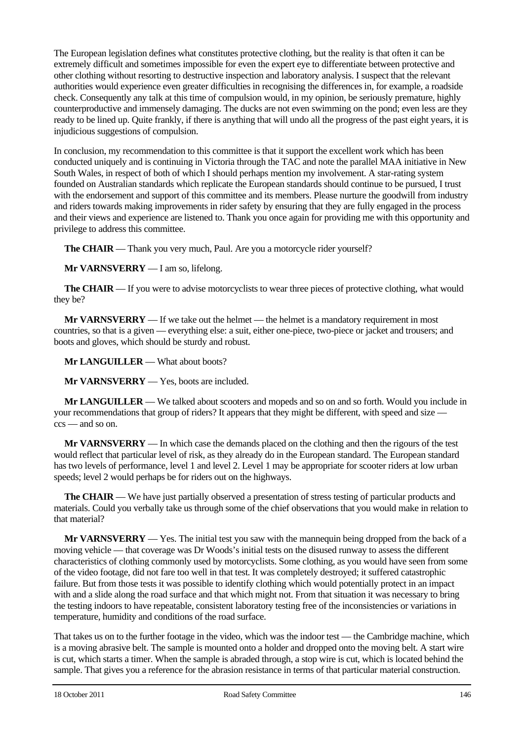The European legislation defines what constitutes protective clothing, but the reality is that often it can be extremely difficult and sometimes impossible for even the expert eye to differentiate between protective and other clothing without resorting to destructive inspection and laboratory analysis. I suspect that the relevant authorities would experience even greater difficulties in recognising the differences in, for example, a roadside check. Consequently any talk at this time of compulsion would, in my opinion, be seriously premature, highly counterproductive and immensely damaging. The ducks are not even swimming on the pond; even less are they ready to be lined up. Quite frankly, if there is anything that will undo all the progress of the past eight years, it is injudicious suggestions of compulsion.

In conclusion, my recommendation to this committee is that it support the excellent work which has been conducted uniquely and is continuing in Victoria through the TAC and note the parallel MAA initiative in New South Wales, in respect of both of which I should perhaps mention my involvement. A star-rating system founded on Australian standards which replicate the European standards should continue to be pursued, I trust with the endorsement and support of this committee and its members. Please nurture the goodwill from industry and riders towards making improvements in rider safety by ensuring that they are fully engaged in the process and their views and experience are listened to. Thank you once again for providing me with this opportunity and privilege to address this committee.

**The CHAIR** — Thank you very much, Paul. Are you a motorcycle rider yourself?

**Mr VARNSVERRY** — I am so, lifelong.

**The CHAIR** — If you were to advise motorcyclists to wear three pieces of protective clothing, what would they be?

**Mr VARNSVERRY** — If we take out the helmet — the helmet is a mandatory requirement in most countries, so that is a given — everything else: a suit, either one-piece, two-piece or jacket and trousers; and boots and gloves, which should be sturdy and robust.

**Mr LANGUILLER** — What about boots?

**Mr VARNSVERRY** — Yes, boots are included.

**Mr LANGUILLER** — We talked about scooters and mopeds and so on and so forth. Would you include in your recommendations that group of riders? It appears that they might be different, with speed and size ccs — and so on.

**Mr VARNSVERRY** — In which case the demands placed on the clothing and then the rigours of the test would reflect that particular level of risk, as they already do in the European standard. The European standard has two levels of performance, level 1 and level 2. Level 1 may be appropriate for scooter riders at low urban speeds; level 2 would perhaps be for riders out on the highways.

**The CHAIR** — We have just partially observed a presentation of stress testing of particular products and materials. Could you verbally take us through some of the chief observations that you would make in relation to that material?

**Mr VARNSVERRY** — Yes. The initial test you saw with the mannequin being dropped from the back of a moving vehicle — that coverage was Dr Woods's initial tests on the disused runway to assess the different characteristics of clothing commonly used by motorcyclists. Some clothing, as you would have seen from some of the video footage, did not fare too well in that test. It was completely destroyed; it suffered catastrophic failure. But from those tests it was possible to identify clothing which would potentially protect in an impact with and a slide along the road surface and that which might not. From that situation it was necessary to bring the testing indoors to have repeatable, consistent laboratory testing free of the inconsistencies or variations in temperature, humidity and conditions of the road surface.

That takes us on to the further footage in the video, which was the indoor test — the Cambridge machine, which is a moving abrasive belt. The sample is mounted onto a holder and dropped onto the moving belt. A start wire is cut, which starts a timer. When the sample is abraded through, a stop wire is cut, which is located behind the sample. That gives you a reference for the abrasion resistance in terms of that particular material construction.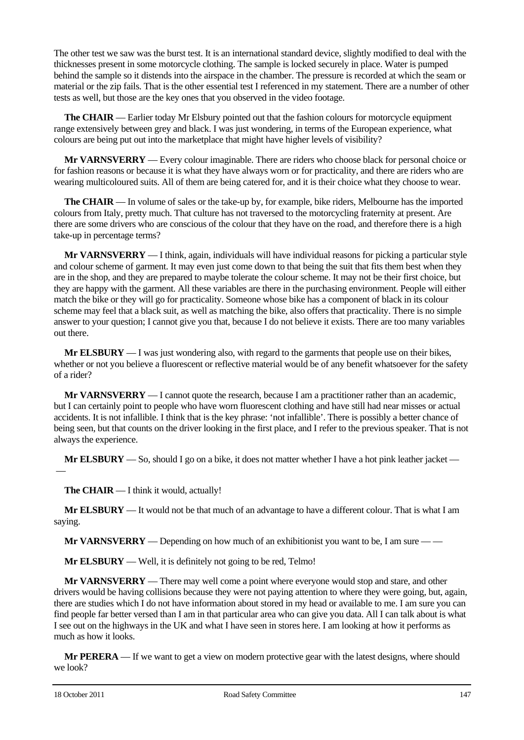The other test we saw was the burst test. It is an international standard device, slightly modified to deal with the thicknesses present in some motorcycle clothing. The sample is locked securely in place. Water is pumped behind the sample so it distends into the airspace in the chamber. The pressure is recorded at which the seam or material or the zip fails. That is the other essential test I referenced in my statement. There are a number of other tests as well, but those are the key ones that you observed in the video footage.

**The CHAIR** — Earlier today Mr Elsbury pointed out that the fashion colours for motorcycle equipment range extensively between grey and black. I was just wondering, in terms of the European experience, what colours are being put out into the marketplace that might have higher levels of visibility?

**Mr VARNSVERRY** — Every colour imaginable. There are riders who choose black for personal choice or for fashion reasons or because it is what they have always worn or for practicality, and there are riders who are wearing multicoloured suits. All of them are being catered for, and it is their choice what they choose to wear.

**The CHAIR** — In volume of sales or the take-up by, for example, bike riders, Melbourne has the imported colours from Italy, pretty much. That culture has not traversed to the motorcycling fraternity at present. Are there are some drivers who are conscious of the colour that they have on the road, and therefore there is a high take-up in percentage terms?

**Mr VARNSVERRY** — I think, again, individuals will have individual reasons for picking a particular style and colour scheme of garment. It may even just come down to that being the suit that fits them best when they are in the shop, and they are prepared to maybe tolerate the colour scheme. It may not be their first choice, but they are happy with the garment. All these variables are there in the purchasing environment. People will either match the bike or they will go for practicality. Someone whose bike has a component of black in its colour scheme may feel that a black suit, as well as matching the bike, also offers that practicality. There is no simple answer to your question; I cannot give you that, because I do not believe it exists. There are too many variables out there.

**Mr ELSBURY** — I was just wondering also, with regard to the garments that people use on their bikes, whether or not you believe a fluorescent or reflective material would be of any benefit whatsoever for the safety of a rider?

**Mr VARNSVERRY** — I cannot quote the research, because I am a practitioner rather than an academic, but I can certainly point to people who have worn fluorescent clothing and have still had near misses or actual accidents. It is not infallible. I think that is the key phrase: 'not infallible'. There is possibly a better chance of being seen, but that counts on the driver looking in the first place, and I refer to the previous speaker. That is not always the experience.

**Mr ELSBURY** — So, should I go on a bike, it does not matter whether I have a hot pink leather jacket —

**The CHAIR** — I think it would, actually!

**Mr ELSBURY** — It would not be that much of an advantage to have a different colour. That is what I am saying.

**Mr VARNSVERRY** — Depending on how much of an exhibitionist you want to be, I am sure — —

**Mr ELSBURY** — Well, it is definitely not going to be red, Telmo!

**Mr VARNSVERRY** — There may well come a point where everyone would stop and stare, and other drivers would be having collisions because they were not paying attention to where they were going, but, again, there are studies which I do not have information about stored in my head or available to me. I am sure you can find people far better versed than I am in that particular area who can give you data. All I can talk about is what I see out on the highways in the UK and what I have seen in stores here. I am looking at how it performs as much as how it looks.

**Mr PERERA** — If we want to get a view on modern protective gear with the latest designs, where should we look?

—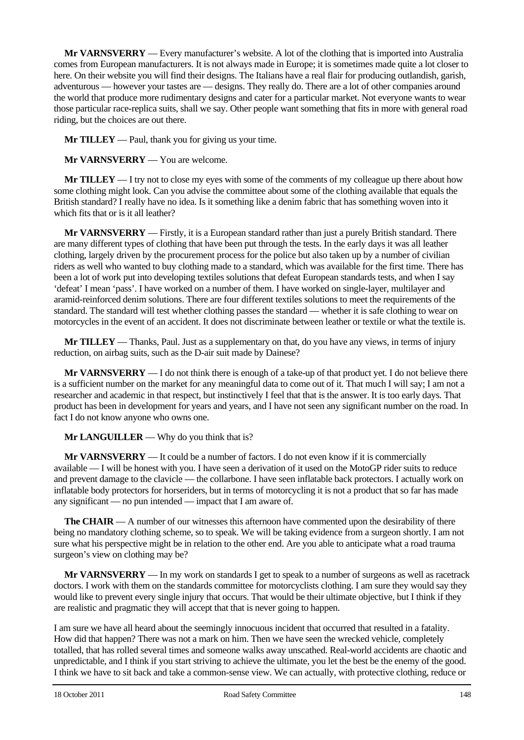**Mr VARNSVERRY** — Every manufacturer's website. A lot of the clothing that is imported into Australia comes from European manufacturers. It is not always made in Europe; it is sometimes made quite a lot closer to here. On their website you will find their designs. The Italians have a real flair for producing outlandish, garish, adventurous — however your tastes are — designs. They really do. There are a lot of other companies around the world that produce more rudimentary designs and cater for a particular market. Not everyone wants to wear those particular race-replica suits, shall we say. Other people want something that fits in more with general road riding, but the choices are out there.

**Mr TILLEY** — Paul, thank you for giving us your time.

**Mr VARNSVERRY** — You are welcome.

**Mr TILLEY** — I try not to close my eyes with some of the comments of my colleague up there about how some clothing might look. Can you advise the committee about some of the clothing available that equals the British standard? I really have no idea. Is it something like a denim fabric that has something woven into it which fits that or is it all leather?

**Mr VARNSVERRY** — Firstly, it is a European standard rather than just a purely British standard. There are many different types of clothing that have been put through the tests. In the early days it was all leather clothing, largely driven by the procurement process for the police but also taken up by a number of civilian riders as well who wanted to buy clothing made to a standard, which was available for the first time. There has been a lot of work put into developing textiles solutions that defeat European standards tests, and when I say 'defeat' I mean 'pass'. I have worked on a number of them. I have worked on single-layer, multilayer and aramid-reinforced denim solutions. There are four different textiles solutions to meet the requirements of the standard. The standard will test whether clothing passes the standard — whether it is safe clothing to wear on motorcycles in the event of an accident. It does not discriminate between leather or textile or what the textile is.

**Mr TILLEY** — Thanks, Paul. Just as a supplementary on that, do you have any views, in terms of injury reduction, on airbag suits, such as the D-air suit made by Dainese?

**Mr VARNSVERRY** — I do not think there is enough of a take-up of that product yet. I do not believe there is a sufficient number on the market for any meaningful data to come out of it. That much I will say; I am not a researcher and academic in that respect, but instinctively I feel that that is the answer. It is too early days. That product has been in development for years and years, and I have not seen any significant number on the road. In fact I do not know anyone who owns one.

**Mr LANGUILLER** — Why do you think that is?

**Mr VARNSVERRY** — It could be a number of factors. I do not even know if it is commercially available — I will be honest with you. I have seen a derivation of it used on the MotoGP rider suits to reduce and prevent damage to the clavicle — the collarbone. I have seen inflatable back protectors. I actually work on inflatable body protectors for horseriders, but in terms of motorcycling it is not a product that so far has made any significant — no pun intended — impact that I am aware of.

**The CHAIR** — A number of our witnesses this afternoon have commented upon the desirability of there being no mandatory clothing scheme, so to speak. We will be taking evidence from a surgeon shortly. I am not sure what his perspective might be in relation to the other end. Are you able to anticipate what a road trauma surgeon's view on clothing may be?

**Mr VARNSVERRY** — In my work on standards I get to speak to a number of surgeons as well as racetrack doctors. I work with them on the standards committee for motorcyclists clothing. I am sure they would say they would like to prevent every single injury that occurs. That would be their ultimate objective, but I think if they are realistic and pragmatic they will accept that that is never going to happen.

I am sure we have all heard about the seemingly innocuous incident that occurred that resulted in a fatality. How did that happen? There was not a mark on him. Then we have seen the wrecked vehicle, completely totalled, that has rolled several times and someone walks away unscathed. Real-world accidents are chaotic and unpredictable, and I think if you start striving to achieve the ultimate, you let the best be the enemy of the good. I think we have to sit back and take a common-sense view. We can actually, with protective clothing, reduce or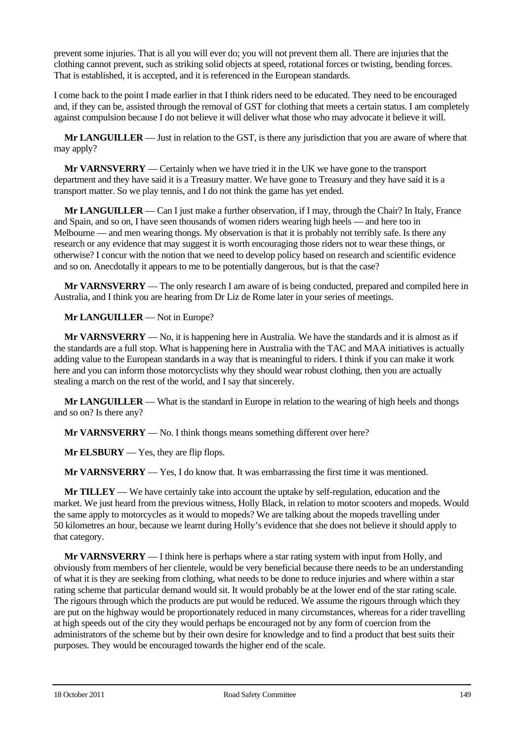prevent some injuries. That is all you will ever do; you will not prevent them all. There are injuries that the clothing cannot prevent, such as striking solid objects at speed, rotational forces or twisting, bending forces. That is established, it is accepted, and it is referenced in the European standards.

I come back to the point I made earlier in that I think riders need to be educated. They need to be encouraged and, if they can be, assisted through the removal of GST for clothing that meets a certain status. I am completely against compulsion because I do not believe it will deliver what those who may advocate it believe it will.

**Mr LANGUILLER** — Just in relation to the GST, is there any jurisdiction that you are aware of where that may apply?

**Mr VARNSVERRY** — Certainly when we have tried it in the UK we have gone to the transport department and they have said it is a Treasury matter. We have gone to Treasury and they have said it is a transport matter. So we play tennis, and I do not think the game has yet ended.

**Mr LANGUILLER** — Can I just make a further observation, if I may, through the Chair? In Italy, France and Spain, and so on, I have seen thousands of women riders wearing high heels — and here too in Melbourne — and men wearing thongs. My observation is that it is probably not terribly safe. Is there any research or any evidence that may suggest it is worth encouraging those riders not to wear these things, or otherwise? I concur with the notion that we need to develop policy based on research and scientific evidence and so on. Anecdotally it appears to me to be potentially dangerous, but is that the case?

**Mr VARNSVERRY** — The only research I am aware of is being conducted, prepared and compiled here in Australia, and I think you are hearing from Dr Liz de Rome later in your series of meetings.

**Mr LANGUILLER** — Not in Europe?

**Mr VARNSVERRY** — No, it is happening here in Australia. We have the standards and it is almost as if the standards are a full stop. What is happening here in Australia with the TAC and MAA initiatives is actually adding value to the European standards in a way that is meaningful to riders. I think if you can make it work here and you can inform those motorcyclists why they should wear robust clothing, then you are actually stealing a march on the rest of the world, and I say that sincerely.

**Mr LANGUILLER** — What is the standard in Europe in relation to the wearing of high heels and thongs and so on? Is there any?

**Mr VARNSVERRY** — No. I think thongs means something different over here?

**Mr ELSBURY** — Yes, they are flip flops.

**Mr VARNSVERRY** — Yes, I do know that. It was embarrassing the first time it was mentioned.

**Mr TILLEY** — We have certainly take into account the uptake by self-regulation, education and the market. We just heard from the previous witness, Holly Black, in relation to motor scooters and mopeds. Would the same apply to motorcycles as it would to mopeds? We are talking about the mopeds travelling under 50 kilometres an hour, because we learnt during Holly's evidence that she does not believe it should apply to that category.

**Mr VARNSVERRY** — I think here is perhaps where a star rating system with input from Holly, and obviously from members of her clientele, would be very beneficial because there needs to be an understanding of what it is they are seeking from clothing, what needs to be done to reduce injuries and where within a star rating scheme that particular demand would sit. It would probably be at the lower end of the star rating scale. The rigours through which the products are put would be reduced. We assume the rigours through which they are put on the highway would be proportionately reduced in many circumstances, whereas for a rider travelling at high speeds out of the city they would perhaps be encouraged not by any form of coercion from the administrators of the scheme but by their own desire for knowledge and to find a product that best suits their purposes. They would be encouraged towards the higher end of the scale.